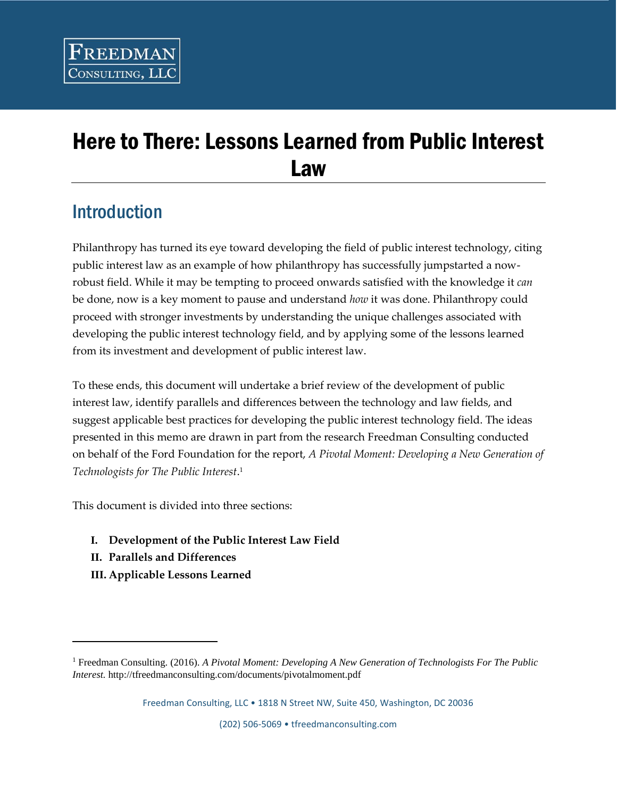# Here to There: Lessons Learned from Public Interest Law

### **Introduction**

Philanthropy has turned its eye toward developing the field of public interest technology, citing public interest law as an example of how philanthropy has successfully jumpstarted a nowrobust field. While it may be tempting to proceed onwards satisfied with the knowledge it *can* be done, now is a key moment to pause and understand *how* it was done. Philanthropy could proceed with stronger investments by understanding the unique challenges associated with developing the public interest technology field, and by applying some of the lessons learned from its investment and development of public interest law.

To these ends, this document will undertake a brief review of the development of public interest law, identify parallels and differences between the technology and law fields, and suggest applicable best practices for developing the public interest technology field. The ideas presented in this memo are drawn in part from the research Freedman Consulting conducted on behalf of the Ford Foundation for the report, *A Pivotal Moment: Developing a New Generation of Technologists for The Public Interest*. 1

This document is divided into three sections:

- **I. Development of the Public Interest Law Field**
- **II. Parallels and Differences**

 $\overline{\phantom{a}}$ 

**III. Applicable Lessons Learned**

Freedman Consulting, LLC • 1818 N Street NW, Suite 450, Washington, DC 20036

<sup>&</sup>lt;sup>1</sup> Freedman Consulting. (2016). A Pivotal Moment: Developing A New Generation of Technologists For The Public *Interest.* http://tfreedmanconsulting.com/documents/pivotalmoment.pdf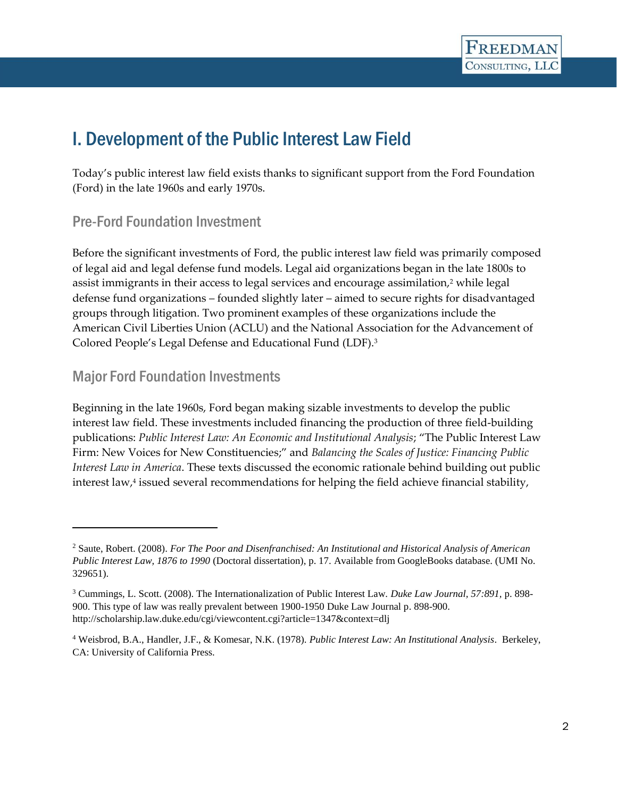## I. Development of the Public Interest Law Field

Today's public interest law field exists thanks to significant support from the Ford Foundation (Ford) in the late 1960s and early 1970s.

#### Pre-Ford Foundation Investment

Before the significant investments of Ford, the public interest law field was primarily composed of legal aid and legal defense fund models. Legal aid organizations began in the late 1800s to assist immigrants in their access to legal services and encourage assimilation, $2$  while legal defense fund organizations – founded slightly later – aimed to secure rights for disadvantaged groups through litigation. Two prominent examples of these organizations include the American Civil Liberties Union (ACLU) and the National Association for the Advancement of Colored People's Legal Defense and Educational Fund (LDF).<sup>3</sup>

#### Major Ford Foundation Investments

 $\overline{\phantom{a}}$ 

Beginning in the late 1960s, Ford began making sizable investments to develop the public interest law field. These investments included financing the production of three field-building publications: *Public Interest Law: An Economic and Institutional Analysis*; "The Public Interest Law Firm: New Voices for New Constituencies;" and *Balancing the Scales of Justice: Financing Public Interest Law in America*. These texts discussed the economic rationale behind building out public interest law,<sup>4</sup> issued several recommendations for helping the field achieve financial stability,

<sup>2</sup> Saute, Robert. (2008). *For The Poor and Disenfranchised: An Institutional and Historical Analysis of American Public Interest Law, 1876 to 1990* (Doctoral dissertation), p. 17*.* Available from GoogleBooks database. (UMI No. 329651).

<sup>3</sup> Cummings, L. Scott. (2008). The Internationalization of Public Interest Law. *Duke Law Journal, 57:891,* p. 898- 900. This type of law was really prevalent between 1900-1950 Duke Law Journal p. 898-900. http://scholarship.law.duke.edu/cgi/viewcontent.cgi?article=1347&context=dlj

<sup>4</sup> Weisbrod, B.A., Handler, J.F., & Komesar, N.K. (1978). *Public Interest Law: An Institutional Analysis*. Berkeley, CA: University of California Press.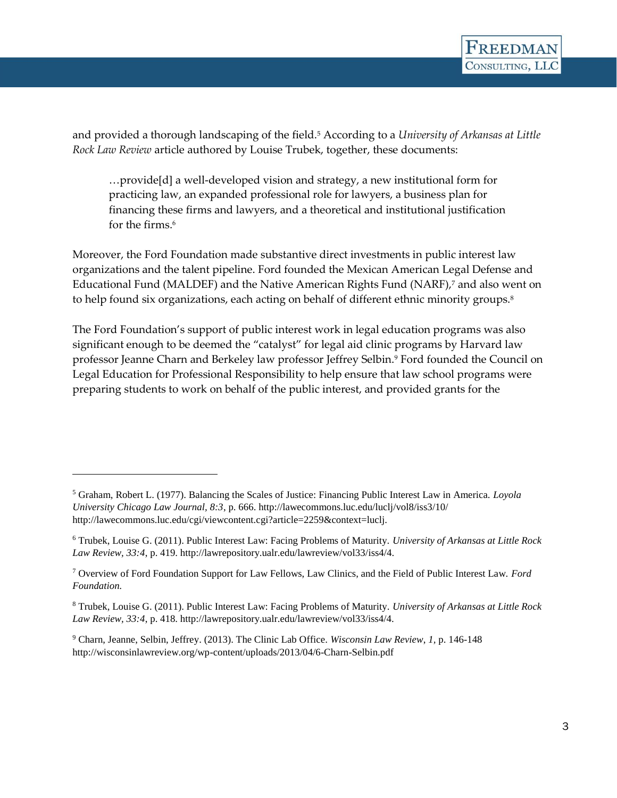and provided a thorough landscaping of the field.<sup>5</sup> According to a *University of Arkansas at Little Rock Law Review* article authored by Louise Trubek, together, these documents:

…provide[d] a well-developed vision and strategy, a new institutional form for practicing law, an expanded professional role for lawyers, a business plan for financing these firms and lawyers, and a theoretical and institutional justification for the firms  $6$ 

Moreover, the Ford Foundation made substantive direct investments in public interest law organizations and the talent pipeline. Ford founded the Mexican American Legal Defense and Educational Fund (MALDEF) and the Native American Rights Fund (NARF),<sup>7</sup> and also went on to help found six organizations, each acting on behalf of different ethnic minority groups.<sup>8</sup>

The Ford Foundation's support of public interest work in legal education programs was also significant enough to be deemed the "catalyst" for legal aid clinic programs by Harvard law professor Jeanne Charn and Berkeley law professor Jeffrey Selbin.<sup>9</sup> Ford founded the Council on Legal Education for Professional Responsibility to help ensure that law school programs were preparing students to work on behalf of the public interest, and provided grants for the

 $\overline{\phantom{a}}$ 

<sup>5</sup> Graham, Robert L. (1977). Balancing the Scales of Justice: Financing Public Interest Law in America. *Loyola University Chicago Law Journal, 8:3*, p. 666. http://lawecommons.luc.edu/luclj/vol8/iss3/10/ http://lawecommons.luc.edu/cgi/viewcontent.cgi?article=2259&context=luclj.

<sup>6</sup> Trubek, Louise G. (2011). Public Interest Law: Facing Problems of Maturity. *University of Arkansas at Little Rock Law Review, 33:4*, p. 419. http://lawrepository.ualr.edu/lawreview/vol33/iss4/4.

<sup>7</sup> Overview of Ford Foundation Support for Law Fellows, Law Clinics, and the Field of Public Interest Law. *Ford Foundation.* 

<sup>8</sup> Trubek, Louise G. (2011). Public Interest Law: Facing Problems of Maturity. *University of Arkansas at Little Rock Law Review, 33:4*, p. 418. http://lawrepository.ualr.edu/lawreview/vol33/iss4/4.

<sup>9</sup> Charn, Jeanne, Selbin, Jeffrey. (2013). The Clinic Lab Office. *Wisconsin Law Review*, *1,* p. 146-148 http://wisconsinlawreview.org/wp-content/uploads/2013/04/6-Charn-Selbin.pdf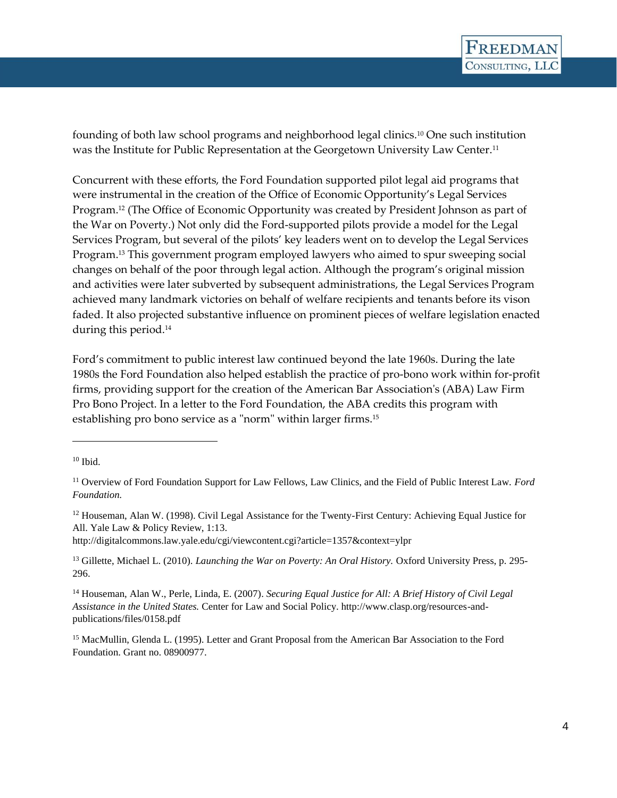founding of both law school programs and neighborhood legal clinics.<sup>10</sup> One such institution was the Institute for Public Representation at the Georgetown University Law Center.<sup>11</sup>

Concurrent with these efforts, the Ford Foundation supported pilot legal aid programs that were instrumental in the creation of the Office of Economic Opportunity's Legal Services Program.<sup>12</sup> (The Office of Economic Opportunity was created by President Johnson as part of the War on Poverty.) Not only did the Ford-supported pilots provide a model for the Legal Services Program, but several of the pilots' key leaders went on to develop the Legal Services Program.<sup>13</sup> This government program employed lawyers who aimed to spur sweeping social changes on behalf of the poor through legal action. Although the program's original mission and activities were later subverted by subsequent administrations, the Legal Services Program achieved many landmark victories on behalf of welfare recipients and tenants before its vison faded. It also projected substantive influence on prominent pieces of welfare legislation enacted during this period.<sup>14</sup>

Ford's commitment to public interest law continued beyond the late 1960s. During the late 1980s the Ford Foundation also helped establish the practice of pro-bono work within for-profit firms, providing support for the creation of the American Bar Association's (ABA) Law Firm Pro Bono Project. In a letter to the Ford Foundation, the ABA credits this program with establishing pro bono service as a "norm" within larger firms.<sup>15</sup>

l

<sup>12</sup> Houseman, Alan W. (1998). Civil Legal Assistance for the Twenty-First Century: Achieving Equal Justice for All. Yale Law & Policy Review, 1:13.

http://digitalcommons.law.yale.edu/cgi/viewcontent.cgi?article=1357&context=ylpr

<sup>13</sup> Gillette, Michael L. (2010). *Launching the War on Poverty: An Oral History.* Oxford University Press, p. 295- 296.

 $10$  Ibid.

<sup>11</sup> Overview of Ford Foundation Support for Law Fellows, Law Clinics, and the Field of Public Interest Law. *Ford Foundation.*

<sup>14</sup> Houseman, Alan W., Perle, Linda, E. (2007). *Securing Equal Justice for All: A Brief History of Civil Legal Assistance in the United States.* Center for Law and Social Policy. http://www.clasp.org/resources-andpublications/files/0158.pdf

<sup>&</sup>lt;sup>15</sup> MacMullin, Glenda L. (1995). Letter and Grant Proposal from the American Bar Association to the Ford Foundation. Grant no. 08900977.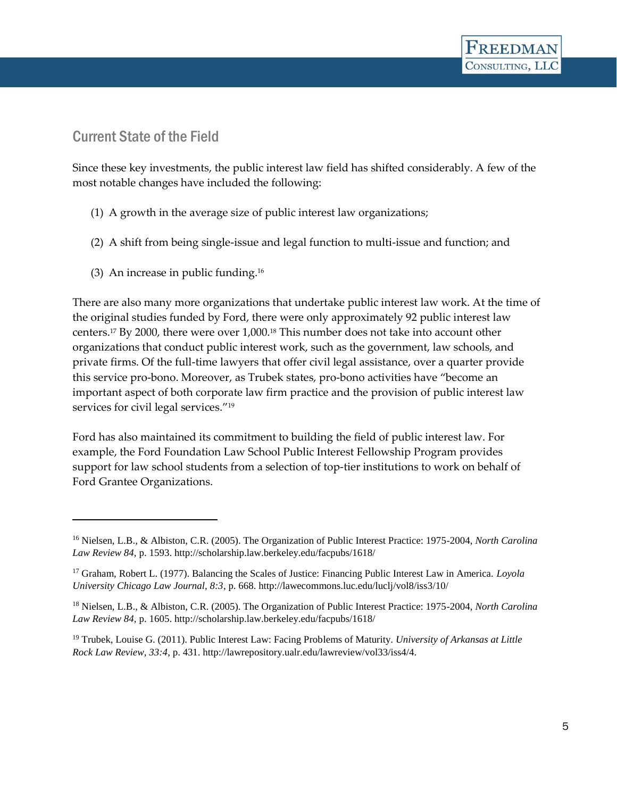#### Current State of the Field

l

Since these key investments, the public interest law field has shifted considerably. A few of the most notable changes have included the following:

- (1) A growth in the average size of public interest law organizations;
- (2) A shift from being single-issue and legal function to multi-issue and function; and
- (3) An increase in public funding.<sup>16</sup>

There are also many more organizations that undertake public interest law work. At the time of the original studies funded by Ford, there were only approximately 92 public interest law centers.<sup>17</sup> By 2000, there were over 1,000.<sup>18</sup> This number does not take into account other organizations that conduct public interest work, such as the government, law schools, and private firms. Of the full-time lawyers that offer civil legal assistance, over a quarter provide this service pro-bono. Moreover, as Trubek states, pro-bono activities have "become an important aspect of both corporate law firm practice and the provision of public interest law services for civil legal services."<sup>19</sup>

Ford has also maintained its commitment to building the field of public interest law. For example, the Ford Foundation Law School Public Interest Fellowship Program provides support for law school students from a selection of top-tier institutions to work on behalf of Ford Grantee Organizations.

<sup>16</sup> Nielsen, L.B., & Albiston, C.R. (2005). The Organization of Public Interest Practice: 1975-2004, *North Carolina Law Review 84,* p. 1593. http://scholarship.law.berkeley.edu/facpubs/1618/

<sup>17</sup> Graham, Robert L. (1977). Balancing the Scales of Justice: Financing Public Interest Law in America. *Loyola University Chicago Law Journal, 8:3*, p. 668. http://lawecommons.luc.edu/luclj/vol8/iss3/10/

<sup>18</sup> Nielsen, L.B., & Albiston, C.R. (2005). The Organization of Public Interest Practice: 1975-2004, *North Carolina Law Review 84,* p. 1605. http://scholarship.law.berkeley.edu/facpubs/1618/

<sup>19</sup> Trubek, Louise G. (2011). Public Interest Law: Facing Problems of Maturity. *University of Arkansas at Little Rock Law Review, 33:4*, p. 431. http://lawrepository.ualr.edu/lawreview/vol33/iss4/4.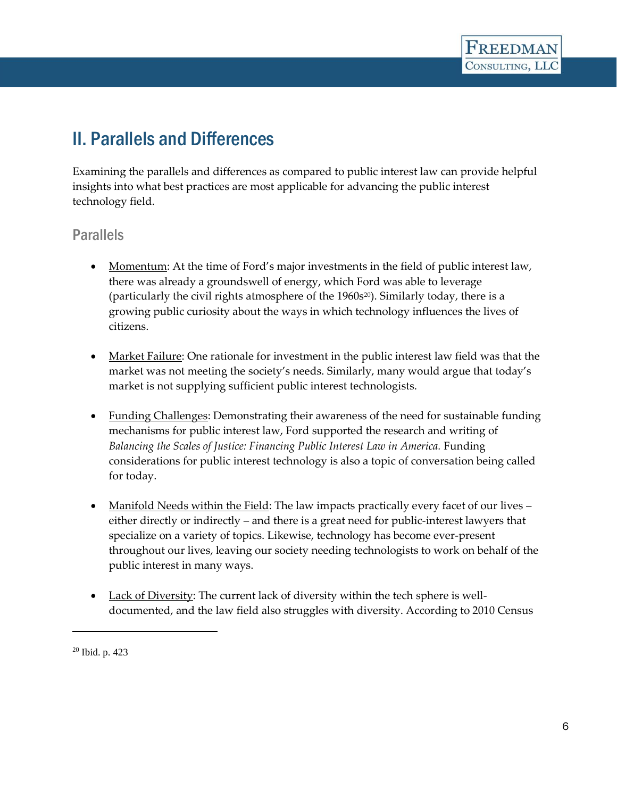# II. Parallels and Differences

Examining the parallels and differences as compared to public interest law can provide helpful insights into what best practices are most applicable for advancing the public interest technology field.

#### Parallels

- Momentum: At the time of Ford's major investments in the field of public interest law, there was already a groundswell of energy, which Ford was able to leverage (particularly the civil rights atmosphere of the  $1960s^{20}$ ). Similarly today, there is a growing public curiosity about the ways in which technology influences the lives of citizens.
- Market Failure: One rationale for investment in the public interest law field was that the market was not meeting the society's needs. Similarly, many would argue that today's market is not supplying sufficient public interest technologists.
- Funding Challenges: Demonstrating their awareness of the need for sustainable funding mechanisms for public interest law, Ford supported the research and writing of *Balancing the Scales of Justice: Financing Public Interest Law in America.* Funding considerations for public interest technology is also a topic of conversation being called for today.
- Manifold Needs within the Field: The law impacts practically every facet of our lives either directly or indirectly – and there is a great need for public-interest lawyers that specialize on a variety of topics. Likewise, technology has become ever-present throughout our lives, leaving our society needing technologists to work on behalf of the public interest in many ways.
- Lack of Diversity: The current lack of diversity within the tech sphere is welldocumented, and the law field also struggles with diversity. According to 2010 Census

<sup>20</sup> Ibid. p. 423

 $\overline{a}$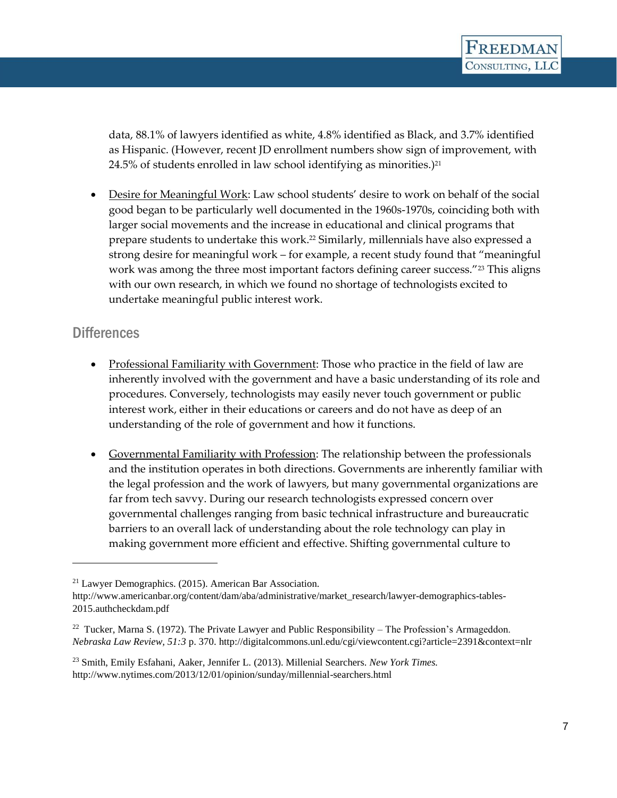data, 88.1% of lawyers identified as white, 4.8% identified as Black, and 3.7% identified as Hispanic. (However, recent JD enrollment numbers show sign of improvement, with  $24.5\%$  of students enrolled in law school identifying as minorities.)<sup>21</sup>

Desire for Meaningful Work: Law school students' desire to work on behalf of the social good began to be particularly well documented in the 1960s-1970s, coinciding both with larger social movements and the increase in educational and clinical programs that prepare students to undertake this work.<sup>22</sup> Similarly, millennials have also expressed a strong desire for meaningful work – for example, a recent study found that "meaningful work was among the three most important factors defining career success."<sup>23</sup> This aligns with our own research, in which we found no shortage of technologists excited to undertake meaningful public interest work.

#### **Differences**

 $\overline{\phantom{a}}$ 

- Professional Familiarity with Government: Those who practice in the field of law are inherently involved with the government and have a basic understanding of its role and procedures. Conversely, technologists may easily never touch government or public interest work, either in their educations or careers and do not have as deep of an understanding of the role of government and how it functions.
- Governmental Familiarity with Profession: The relationship between the professionals and the institution operates in both directions. Governments are inherently familiar with the legal profession and the work of lawyers, but many governmental organizations are far from tech savvy. During our research technologists expressed concern over governmental challenges ranging from basic technical infrastructure and bureaucratic barriers to an overall lack of understanding about the role technology can play in making government more efficient and effective. Shifting governmental culture to

<sup>21</sup> Lawyer Demographics. (2015). American Bar Association.

http://www.americanbar.org/content/dam/aba/administrative/market\_research/lawyer-demographics-tables-2015.authcheckdam.pdf

<sup>&</sup>lt;sup>22</sup> Tucker, Marna S. (1972). The Private Lawyer and Public Responsibility – The Profession's Armageddon. *Nebraska Law Review, 51:3* p. 370. http://digitalcommons.unl.edu/cgi/viewcontent.cgi?article=2391&context=nlr

<sup>23</sup> Smith, Emily Esfahani, Aaker, Jennifer L. (2013). Millenial Searchers. *New York Times.* http://www.nytimes.com/2013/12/01/opinion/sunday/millennial-searchers.html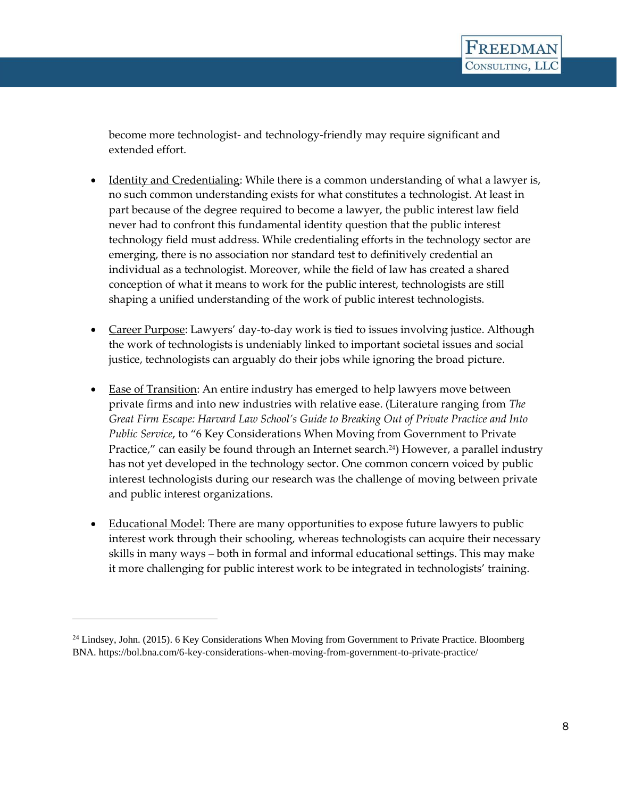become more technologist- and technology-friendly may require significant and extended effort.

- Identity and Credentialing: While there is a common understanding of what a lawyer is, no such common understanding exists for what constitutes a technologist. At least in part because of the degree required to become a lawyer, the public interest law field never had to confront this fundamental identity question that the public interest technology field must address. While credentialing efforts in the technology sector are emerging, there is no association nor standard test to definitively credential an individual as a technologist. Moreover, while the field of law has created a shared conception of what it means to work for the public interest, technologists are still shaping a unified understanding of the work of public interest technologists.
- Career Purpose: Lawyers' day-to-day work is tied to issues involving justice. Although the work of technologists is undeniably linked to important societal issues and social justice, technologists can arguably do their jobs while ignoring the broad picture.
- Ease of Transition: An entire industry has emerged to help lawyers move between private firms and into new industries with relative ease. (Literature ranging from *The Great Firm Escape: Harvard Law School's Guide to Breaking Out of Private Practice and Into Public Service*, to "6 Key Considerations When Moving from Government to Private Practice," can easily be found through an Internet search.<sup>24</sup>) However, a parallel industry has not yet developed in the technology sector. One common concern voiced by public interest technologists during our research was the challenge of moving between private and public interest organizations.
- Educational Model: There are many opportunities to expose future lawyers to public interest work through their schooling, whereas technologists can acquire their necessary skills in many ways – both in formal and informal educational settings. This may make it more challenging for public interest work to be integrated in technologists' training.

 $\overline{a}$ 

<sup>&</sup>lt;sup>24</sup> Lindsey, John. (2015). 6 Key Considerations When Moving from Government to Private Practice. Bloomberg BNA. https://bol.bna.com/6-key-considerations-when-moving-from-government-to-private-practice/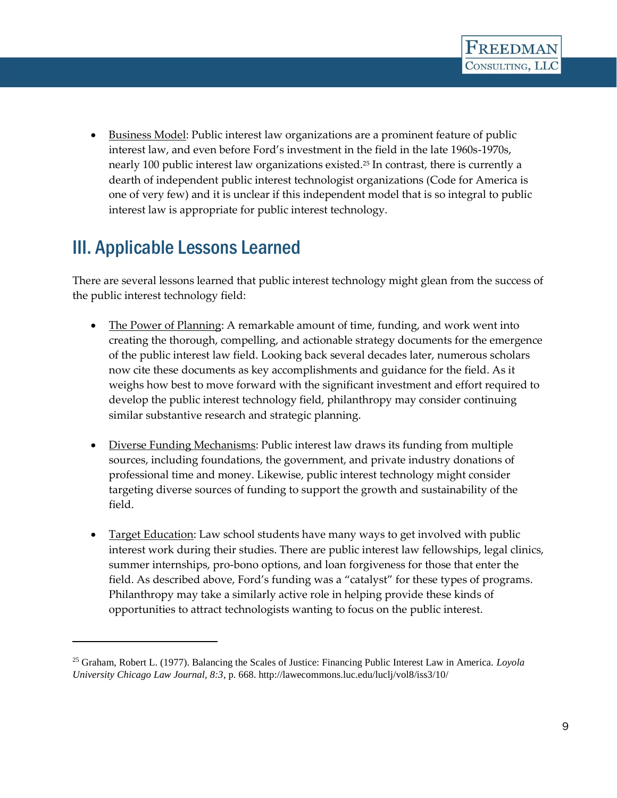• Business Model: Public interest law organizations are a prominent feature of public interest law, and even before Ford's investment in the field in the late 1960s-1970s, nearly 100 public interest law organizations existed.<sup>25</sup> In contrast, there is currently a dearth of independent public interest technologist organizations (Code for America is one of very few) and it is unclear if this independent model that is so integral to public interest law is appropriate for public interest technology.

### III. Applicable Lessons Learned

 $\overline{\phantom{a}}$ 

There are several lessons learned that public interest technology might glean from the success of the public interest technology field:

- The Power of Planning: A remarkable amount of time, funding, and work went into creating the thorough, compelling, and actionable strategy documents for the emergence of the public interest law field. Looking back several decades later, numerous scholars now cite these documents as key accomplishments and guidance for the field. As it weighs how best to move forward with the significant investment and effort required to develop the public interest technology field, philanthropy may consider continuing similar substantive research and strategic planning.
- Diverse Funding Mechanisms: Public interest law draws its funding from multiple sources, including foundations, the government, and private industry donations of professional time and money. Likewise, public interest technology might consider targeting diverse sources of funding to support the growth and sustainability of the field.
- **Target Education:** Law school students have many ways to get involved with public interest work during their studies. There are public interest law fellowships, legal clinics, summer internships, pro-bono options, and loan forgiveness for those that enter the field. As described above, Ford's funding was a "catalyst" for these types of programs. Philanthropy may take a similarly active role in helping provide these kinds of opportunities to attract technologists wanting to focus on the public interest.

<sup>25</sup> Graham, Robert L. (1977). Balancing the Scales of Justice: Financing Public Interest Law in America. *Loyola University Chicago Law Journal, 8:3*, p. 668. http://lawecommons.luc.edu/luclj/vol8/iss3/10/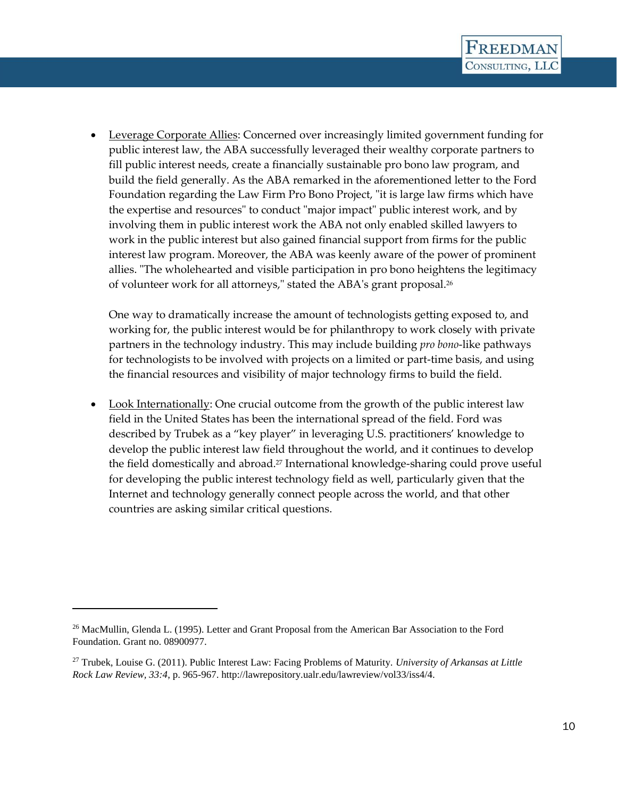• Leverage Corporate Allies: Concerned over increasingly limited government funding for public interest law, the ABA successfully leveraged their wealthy corporate partners to fill public interest needs, create a financially sustainable pro bono law program, and build the field generally. As the ABA remarked in the aforementioned letter to the Ford Foundation regarding the Law Firm Pro Bono Project, "it is large law firms which have the expertise and resources" to conduct "major impact" public interest work, and by involving them in public interest work the ABA not only enabled skilled lawyers to work in the public interest but also gained financial support from firms for the public interest law program. Moreover, the ABA was keenly aware of the power of prominent allies. "The wholehearted and visible participation in pro bono heightens the legitimacy of volunteer work for all attorneys," stated the ABA's grant proposal.<sup>26</sup>

One way to dramatically increase the amount of technologists getting exposed to, and working for, the public interest would be for philanthropy to work closely with private partners in the technology industry. This may include building *pro bono*-like pathways for technologists to be involved with projects on a limited or part-time basis, and using the financial resources and visibility of major technology firms to build the field.

• Look Internationally: One crucial outcome from the growth of the public interest law field in the United States has been the international spread of the field. Ford was described by Trubek as a "key player" in leveraging U.S. practitioners' knowledge to develop the public interest law field throughout the world, and it continues to develop the field domestically and abroad.<sup>27</sup> International knowledge-sharing could prove useful for developing the public interest technology field as well, particularly given that the Internet and technology generally connect people across the world, and that other countries are asking similar critical questions.

 $\overline{\phantom{a}}$ 

<sup>&</sup>lt;sup>26</sup> MacMullin, Glenda L. (1995). Letter and Grant Proposal from the American Bar Association to the Ford Foundation. Grant no. 08900977.

<sup>27</sup> Trubek, Louise G. (2011). Public Interest Law: Facing Problems of Maturity. *University of Arkansas at Little Rock Law Review, 33:4*, p. 965-967. http://lawrepository.ualr.edu/lawreview/vol33/iss4/4.